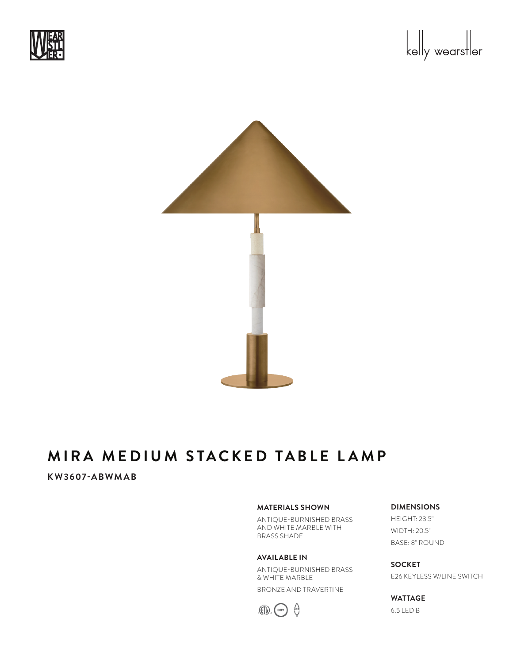





### **KW3607-ABWMAB**

#### **MATERIALS SHOWN**

ANTIQUE-BURNISHED BRASS AND WHITE MARBLE WITH BRASS SHADE

#### **AVAILABLE IN**

ANTIQUE-BURNISHED BRASS & WHITE MARBLE BRONZE AND TRAVERTINE



# **DIMENSIONS**

HEIGHT: 28.5" WIDTH: 20.5" BASE: 8" ROUND

**SOCKET** E26 KEYLESS W/LINE SWITCH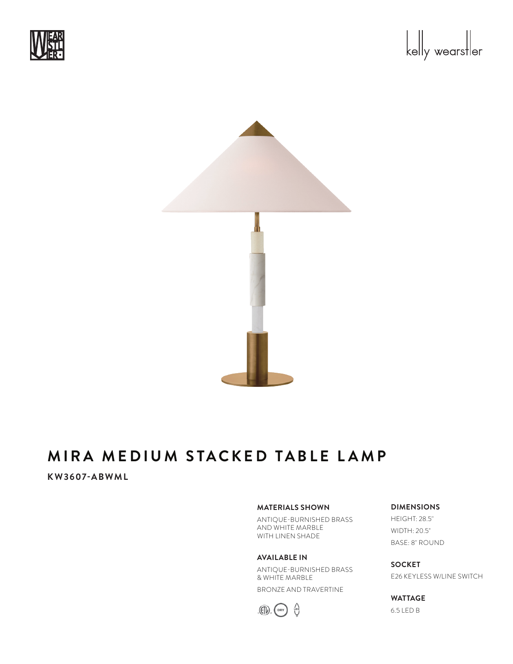





### **KW3607-ABWML**

#### **MATERIALS SHOWN**

ANTIQUE-BURNISHED BRASS AND WHITE MARBLE WITH LINEN SHADE

#### **AVAILABLE IN**

ANTIQUE-BURNISHED BRASS & WHITE MARBLE BRONZE AND TRAVERTINE



#### **DIMENSIONS** HEIGHT: 28.5"

WIDTH: 20.5" BASE: 8" ROUND

**SOCKET** E26 KEYLESS W/LINE SWITCH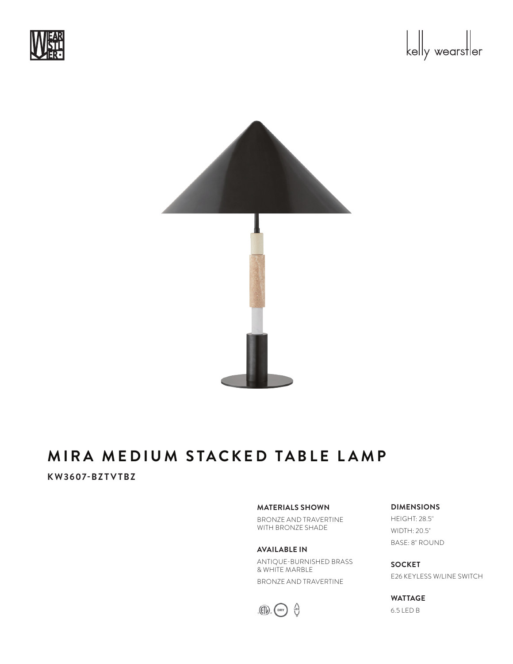





### **KW3607-BZTVTBZ**

#### **MATERIALS SHOWN**

BRONZE AND TRAVERTINE WITH BRONZE SHADE

**AVAILABLE IN** ANTIQUE-BURNISHED BRASS & WHITE MARBLE BRONZE AND TRAVERTINE



## **DIMENSIONS** HEIGHT: 28.5"

WIDTH: 20.5" BASE: 8" ROUND

**SOCKET** E26 KEYLESS W/LINE SWITCH